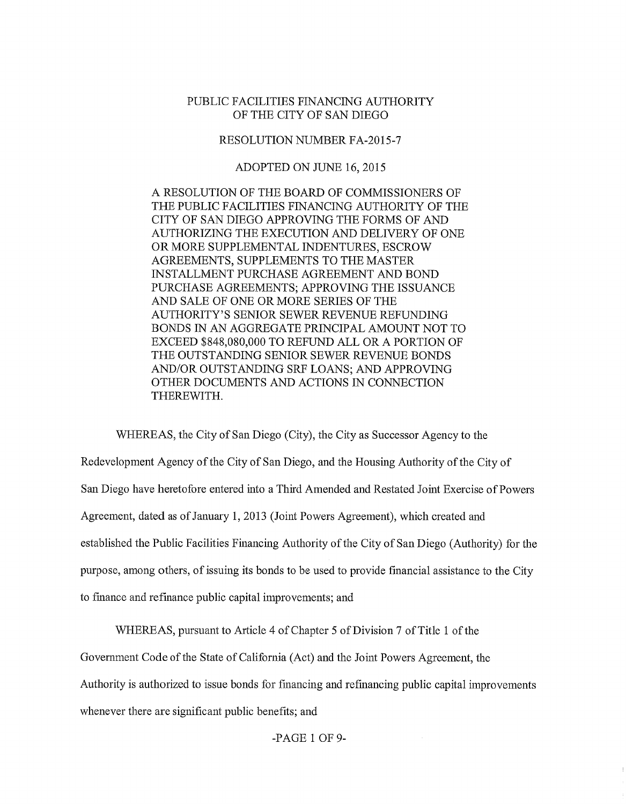## PUBLIC FACILITIES FINANCING AUTHORITY OF THE CITY OF SAN DIEGO

## RESOLUTION NUMBER FA-2015-7

## ADOPTED ON JUNE 16, 2015

A RESOLUTION OF THE BOARD OF COMMISSIONERS OF THE PUBLIC FACILITIES FINANCING AUTHORITY OF THE CITY OF SAN DIEGO APPROVING THE FORMS OF AND AUTHORIZING THE EXECUTION AND DELIVERY OF ONE OR MORE SUPPLEMENTAL INDENTURES, ESCROW AGREEMENTS, SUPPLEMENTS TO THE MASTER INSTALLMENT PURCHASE AGREEMENT AND BOND PURCHASE AGREEMENTS; APPROVING THE ISSUANCE AND SALE OF ONE OR MORE SERIES OF THE AUTHORITY'S SENIOR SEWER REVENUE REFUNDING BONDS IN AN AGGREGATE PRINCIPAL AMOUNT NOT TO EXCEED \$848,080,000 TO REFUND ALL OR A PORTION OF THE OUTSTANDING SENIOR SEWER REVENUE BONDS AND/OR OUTSTANDING SRF LOANS; AND APPROVING OTHER DOCUMENTS AND ACTIONS IN CONNECTION THEREWITH.

WHEREAS, the City of San Diego (City), the City as Successor Agency to the Redevelopment Agency of the City of San Diego, and the Housing Authority of the City of San Diego have heretofore entered into a Third Amended and Restated Joint Exercise of Powers Agreement, dated as of January 1, 2013 (Joint Powers Agreement), which created and established the Public Facilities Financing Authority of the City of San Diego (Authority) for the purpose, among others, of issuing its bonds to be used to provide financial assistance to the City to fmance and refinance public capital improvements; and

WHEREAS, pursuant to Article 4 of Chapter 5 of Division 7 of Title 1 of the

Government Code of the State of California (Act) and the Joint Powers Agreement, the

Authority is authorized to issue bonds for financing and refinancing public capital improvements

whenever there are significant public benefits; and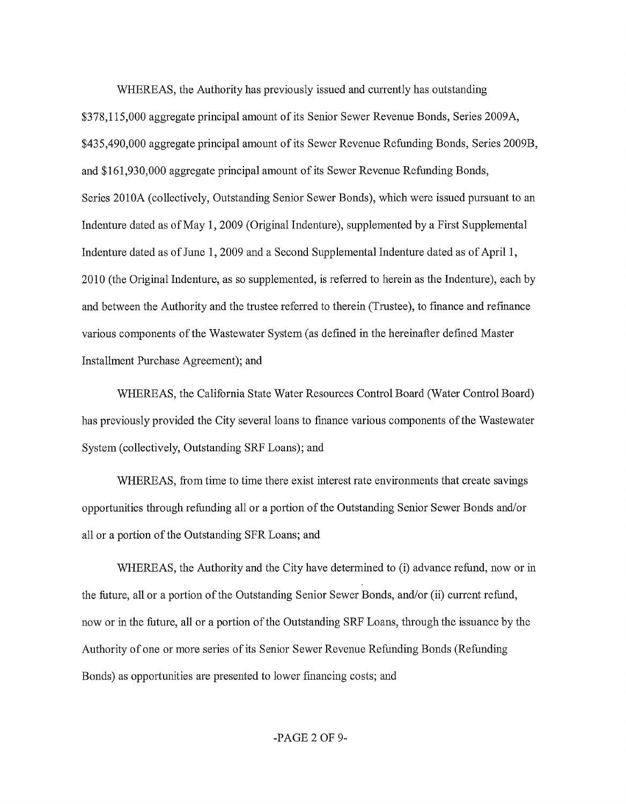WHEREAS, the Authority has previously issued and currently has outstanding \$378,115,000 aggregate principal amount of its Senior Sewer Revenue Bonds, Series 2009A, \$435,490,000 aggregate principal amount of its Sewer Revenue Refunding Bonds, Series 2009B, and \$161,930,000 aggregate principal amount of its Sewer Revenue Refunding Bonds, Series 2010A (collectively, Outstanding Senior Sewer Bonds), which were issued pursuant to an Indenture dated as ofMay 1, 2009 (Original Indenture), supplemented by a First Supplemental Indenture dated as of June 1, 2009 and a Second Supplemental Indenture dated as of April 1, 2010 (the Original Indenture, as so supplemented, is referred to herein as the Indenture), each by and between the Authority and the trustee referred to therein (Trustee), to fmance and refmance various components of the Wastewater System (as defined in the hereinafter defined Master Installment Purchase Agreement); and

WHEREAS, the California State Water Resources Control Board (Water Control Board) has previously provided the City several loans to finance various components of the Wastewater System (collectively, Outstanding SRF Loans); and

WHEREAS, from time to time there exist interest rate environments that create savings opportunities through refunding all or a portion of the Outstanding Senior Sewer Bonds and/or all or a portion of the Outstanding SFR Loans; and

WHEREAS, the Authority and the City have determined to (i) advance refund, now or in the future, all or a portion of the Outstanding Senior Sewer Bonds, and/or (ii) current refund, now or in the future, all or a portion of the Outstanding SRF Loans, through the issuance by the Authority of one or more series of its Senior Sewer Revenue Refunding Bonds (Refunding Bonds) as opportunities are presented to lower fmancing costs; and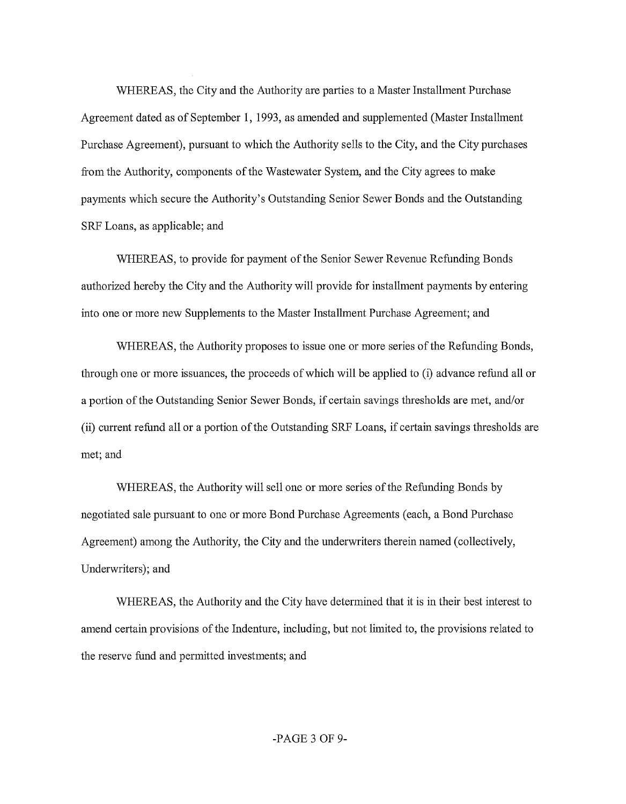WHEREAS, the City and the Authority are parties to a Master Installment Purchase Agreement dated as of September 1, 1993, as amended and supplemented (Master Installment Purchase Agreement), pursuant to which the Authority sells to the City, and the City purchases from the Authority, components of the Wastewater System, and the City agrees to make payments which secure the Authority's Outstanding Senior Sewer Bonds and the Outstanding SRF Loans, as applicable; and

WHEREAS, to provide for payment of the Senior Sewer Revenue Refunding Bonds authorized hereby the City and the Authority will provide for installment payments by entering into one or more new Supplements to the Master Installment Purchase Agreement; and

WHEREAS, the Authority proposes to issue one or more series of the Refunding Bonds, through one or more issuances, the proceeds of which will be applied to (i) advance refund all or a portion of the Outstanding Senior Sewer Bonds, if certain savings thresholds are met, and/or (ii) current refund all or a portion of the Outstanding SRF Loans, if certain savings thresholds are met; and

WHEREAS, the Authority will sell one or more series of the Refunding Bonds by negotiated sale pursuant to one or more Bond Purchase Agreements (each, a Bond Purchase Agreement) among the Authority, the City and the underwriters therein named (collectively, Underwriters); and

WHEREAS, the Authority and the City have determined that it is in their best interest to amend certain provisions of the Indenture, including, but not limited to, the provisions related to the reserve fund and permitted investments; and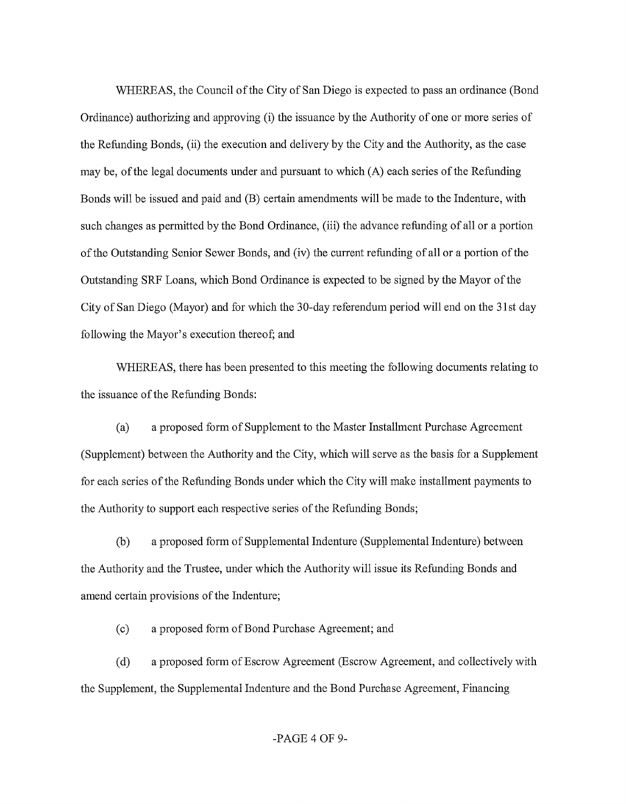WHEREAS, the Council of the City of San Diego is expected to pass an ordinance (Bond Ordinance) authorizing and approving (i) the issuance by the Authority of one or more series of the Refunding Bonds, (ii) the execution and delivery by the City and the Authority, as the case may be, of the legal documents under and pursuant to which  $(A)$  each series of the Refunding Bonds will be issued and paid and (B) certain amendments will be made to the Indenture, with such changes as permitted by the Bond Ordinance, (iii) the advance refunding of all or a portion ofthe Outstanding Senior Sewer Bonds, and (iv) the current refunding of all or a portion of the Outstanding SRF Loans, which Bond Ordinance is expected to be signed by the Mayor of the City of San Diego (Mayor) and for which the 30-day referendum period will end on the 31st day following the Mayor's execution thereof; and

WHEREAS, there has been presented to this meeting the following documents relating to the issuance of the Refunding Bonds:

(a) a proposed form of Supplement to the Master Installment Purchase Agreement (Supplement) between the Authority and the City, which will serve as the basis for a Supplement for each series of the Refunding Bonds under which the City will make installment payments to the Authority to support each respective series of the Refunding Bonds;

(b) a proposed form of Supplemental Indenture (Supplemental Indenture) between the Authority and the Trustee, under which the Authority will issue its Refunding Bonds and amend certain provisions of the Indenture;

(c) a proposed form of Bond Purchase Agreement; and

(d) a proposed form of Escrow Agreement (Escrow Agreement, and collectively with the Supplement, the Supplemental Indenture and the Bond Purchase Agreement, Financing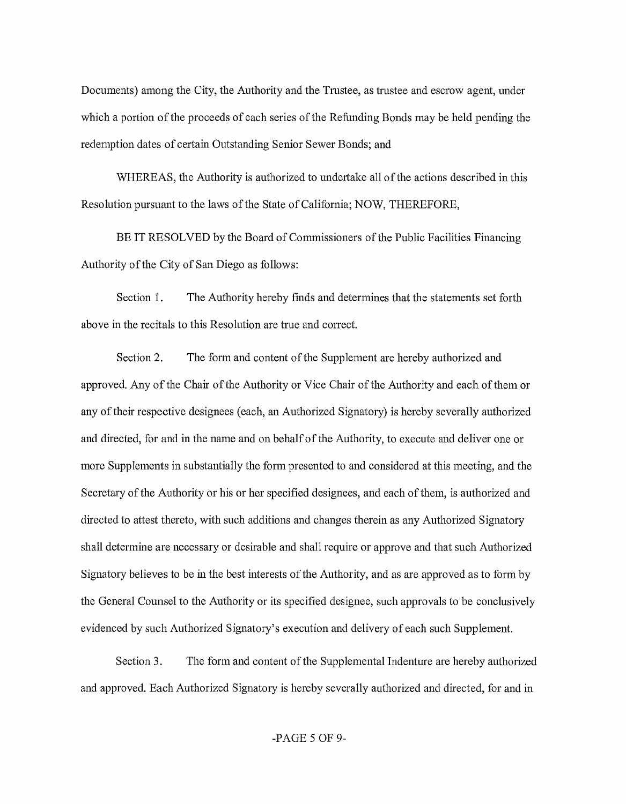Documents) among the City, the Authority and the Trustee, as trustee and escrow agent, under which a portion of the proceeds of each series of the Refunding Bonds may be held pending the redemption dates of certain Outstanding Senior Sewer Bonds; and

WHEREAS, the Authority is authorized to undertake all of the actions described in this Resolution pursuant to the laws of the State of California; NOW, THEREFORE,

BE IT RESOLVED by the Board of Commissioners of the Public Facilities Financing Authority of the City of San Diego as follows:

Section 1. The Authority hereby finds and determines that the statements set forth above in the recitals to this Resolution are true and correct.

Section 2. The form and content of the Supplement are hereby authorized and approved. Any of the Chair of the Authority or Vice Chair of the Authority and each of them or any of their respective designees (each, an Authorized Signatory) is hereby severally authorized and directed, for and in the name and on behalfofthe Authority, to execute and deliver one or more Supplements in substantially the form presented to and considered at this meeting, and the Secretary of the Authority or his or her specified designees, and each of them, is authorized and directed to attest thereto, with such additions and changes therein as any Authorized Signatory shall determine are necessary or desirable and shall require or approve and that such Authorized Signatory believes to be in the best interests of the Authority, and as are approved as to form by the General Counsel to the Authority or its specified designee, such approvals to be conclusively evidenced by such Authorized Signatory's execution and delivery of each such Supplement.

Section 3. The form and content of the Supplemental Indenture are hereby authorized and approved. Each Authorized Signatory is hereby severally authorized and directed, for and in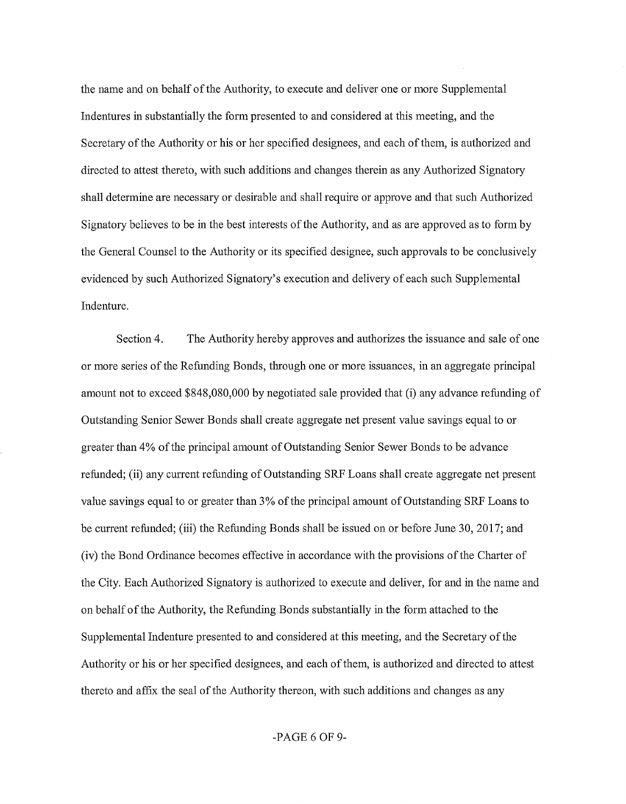the name and on behalf of the Authority, to execute and deliver one or more Supplemental Indentures in substantially the form presented to and considered at this meeting, and the Secretary of the Authority or his or her specified designees, and each of them, is authorized and directed to attest thereto, with such additions and changes therein as any Authorized Signatory shall determine are necessary or desirable and shall require or approve and that such Authorized Signatory believes to be in the best interests of the Authority, and as are approved as to form by the General Counsel to the Authority or its specified designee, such approvals to be conclusively evidenced by such Authorized Signatory's execution and delivery of each such Supplemental Indenture.

Section4. The Authority hereby approves and authorizes the issuance and sale of one or more series of the Refunding Bonds, through one or more issuances, in an aggregate principal amount not to exceed \$848,080,000 by negotiated sale provided that (i) any advance refunding of Outstanding Senior Sewer Bonds shall create aggregate net present value savings equal to or greater than 4% of the principal amount of Outstanding Senior Sewer Bonds to be advance refunded; (ii) any current refunding of Outstanding SRF Loans shall create aggregate net present value savings equal to or greater than 3% of the principal amount of Outstanding SRF Loans to be current refunded; (iii) the Refunding Bonds shall be issued on or before June 30, 2017; and (iv) the Bond Ordinance becomes effective in accordance with the provisions of the Charter of the City. Each Authorized Signatory is authorized to execute and deliver, for and in the name and on behalf of the Authority, the Refunding Bonds substantially in the form attached to the Supplemental Indenture presented to and considered at this meeting, and the Secretary of the Authority or his or her specified designees, and each of them, is authorized and directed to attest thereto and affix the seal of the Authority thereon, with such additions and changes as any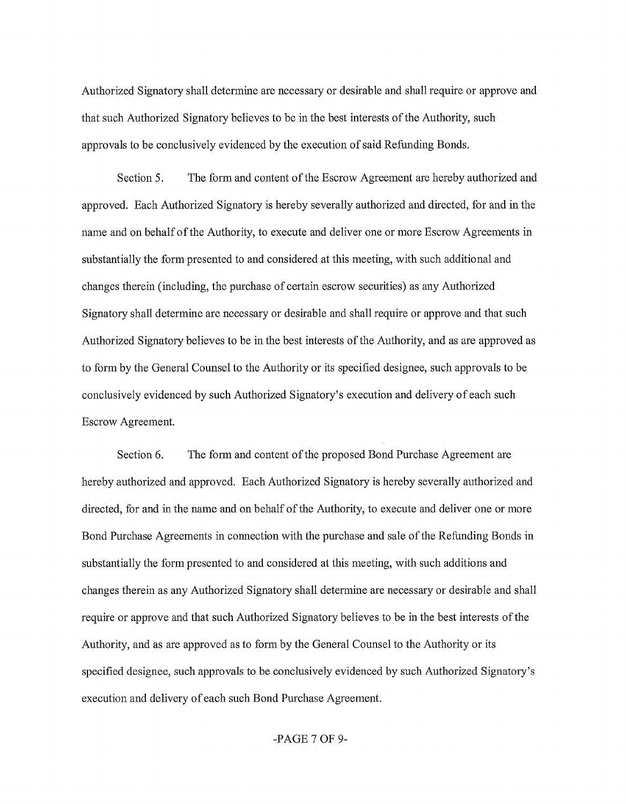Authorized Signatory shall determine are necessary or desirable and shall require or approve and that such Authorized Signatory believes to be in the best interests of the Authority, such approvals to be conclusively evidenced by the execution of said Refunding Bonds.

Section 5. The form and content of the Escrow Agreement are hereby authorized and approved. Each Authorized Signatory is hereby severally authorized and directed, for and in the name and on behalf of the Authority, to execute and deliver one or more Escrow Agreements in substantially the form presented to and considered at this meeting, with such additional and changes therein (including, the purchase of certain escrow securities) as any Authorized Signatory shall determine are necessary or desirable and shall require or approve and that such Authorized Signatory believes to be in the best interests of the Authority, and as are approved as to form by the General Counsel to the Authority or its specified designee, such approvals to be conclusively evidenced by such Authorized Signatory's execution and delivery of each such Escrow Agreement.

Section 6. The form and content of the proposed Bond Purchase Agreement are hereby authorized and approved. Each Authorized Signatory is hereby severally authorized and directed, for and in the name and on behalf of the Authority, to execute and deliver one or more Bond Purchase Agreements in connection with the purchase and sale of the Refunding Bonds in substantially the form presented to and considered at this meeting, with such additions and changes therein as any Authorized Signatory shall determine are necessary or desirable and shall require or approve and that such Authorized Signatory believes to be in the best interests of the Authority, and as are approved as to form by the General Counsel to the Authority or its specified designee, such approvals to be conclusively evidenced by such Authorized Signatory's execution and delivery of each such Bond Purchase Agreement.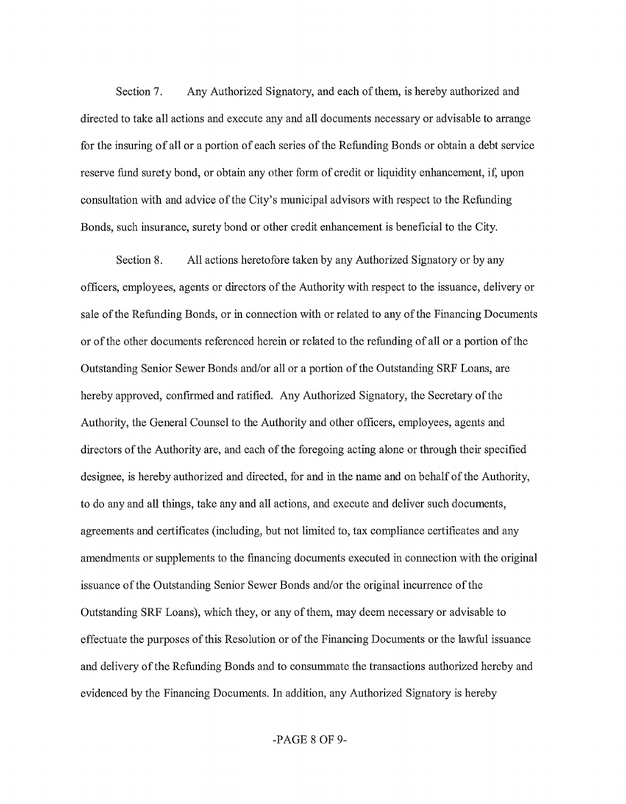Section 7. Any Authorized Signatory, and each of them, is hereby authorized and directed to take all actions and execute any and all documents necessary or advisable to arrange for the insuring of all or a portion of each series of the Refunding Bonds or obtain a debt service reserve fund surety bond, or obtain any other form of credit or liquidity enhancement, if, upon consultation with and advice of the City's municipal advisors with respect to the Refunding Bonds, such insurance, surety bond or other credit enhancement is beneficial to the City.

Section 8. All actions heretofore taken by any Authorized Signatory or by any officers, employees, agents or directors of the Authority with respect to the issuance, delivery or sale of the Refunding Bonds, or in connection with or related to any of the Financing Documents or of the other documents referenced herein or related to the refunding of all or a portion of the Outstanding Senior Sewer Bonds and/or all or a portion of the Outstanding SRF Loans, are hereby approved, confirmed and ratified. Any Authorized Signatory, the Secretary of the Authority, the General Counsel to the Authority and other officers, employees, agents and directors of the Authority are, and each of the foregoing acting alone or through their specified designee, is hereby authorized and directed, for and in the name and on behalf of the Authority, to do any and all things, take any and all actions, and execute and deliver such documents, agreements and certificates (including, but not limited to, tax compliance certificates and any amendments or supplements to the financing documents executed in connection with the original issuance of the Outstanding Senior Sewer Bonds and/or the original incurrence of the Outstanding SRF Loans), which they, or any of them, may deem necessary or advisable to effectuate the purposes of this Resolution or of the Financing Documents or the lawful issuance and delivery of the Refunding Bonds and to consummate the transactions authorized hereby and evidenced by the Financing Documents. In addition, any Authorized Signatory is hereby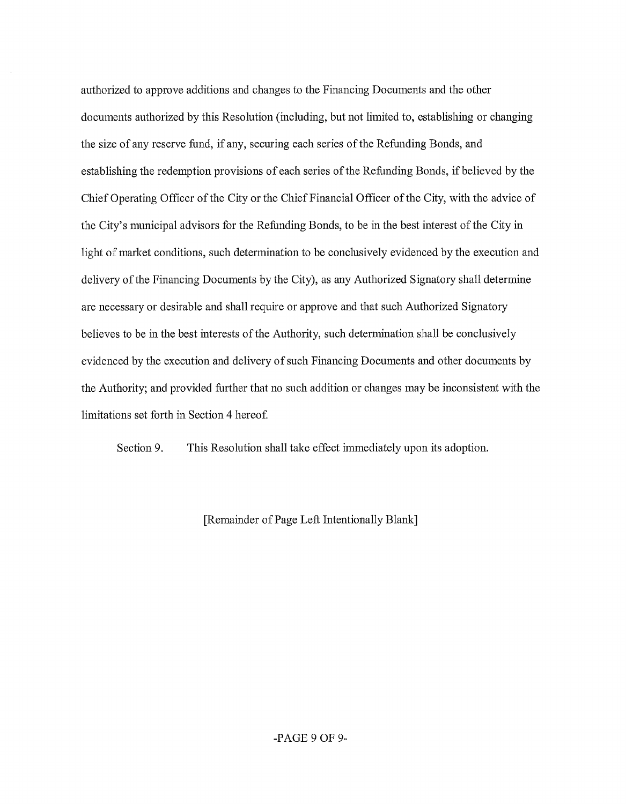authorized to approve additions and changes to the Financing Documents and the other documents authorized by this Resolution (including, but not limited to, establishing or changing the size of any reserve fund, if any, securing each series of the Refunding Bonds, and establishing the redemption provisions of each series of the Refunding Bonds, if believed by the Chief Operating Officer of the City or the Chief Financial Officer of the City, with the advice of the City's municipal advisors for the Refunding Bonds, to be in the best interest of the City in light of market conditions, such determination to be conclusively evidenced by the execution and delivery of the Financing Documents by the City), as any Authorized Signatory shall determine are necessary or desirable and shall require or approve and that such Authorized Signatory believes to be in the best interests of the Authority, such determination shall be conclusively evidenced by the execution and delivery of such Financing Documents and other documents by the Authority; and provided further that no such addition or changes may be inconsistent with the limitations set forth in Section 4 hereof

Section 9. This Resolution shall take effect immediately upon its adoption.

[Remainder of Page Left Intentionally Blank]